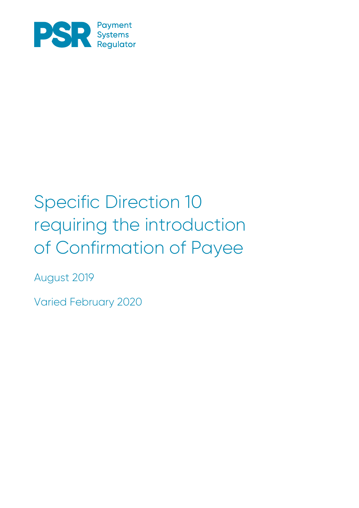

# $\overline{P}$ Confirmation of Payee of Confirmation of Payee Specific Direction 10 requiring the introduction

August 2019

Varied February 2020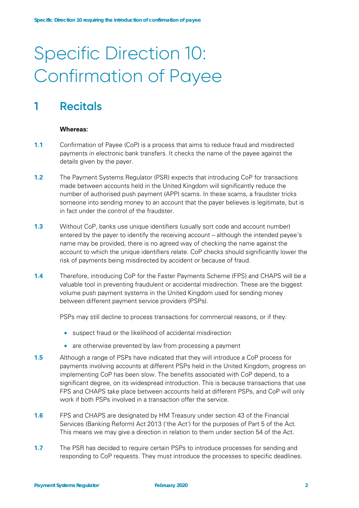# Specific Direction 10: Confirmation of Payee

# **1 Recitals**

#### **Whereas:**

- **1.1** Confirmation of Payee (CoP) is a process that aims to reduce fraud and misdirected payments in electronic bank transfers. It checks the name of the payee against the details given by the payer.
- **1.2** The Payment Systems Regulator (PSR) expects that introducing CoP for transactions made between accounts held in the United Kingdom will significantly reduce the number of authorised push payment (APP) scams. In these scams, a fraudster tricks someone into sending money to an account that the payer believes is legitimate, but is in fact under the control of the fraudster.
- **1.3** Without CoP, banks use unique identifiers (usually sort code and account number) entered by the payer to identify the receiving account – although the intended payee's name may be provided, there is no agreed way of checking the name against the account to which the unique identifiers relate. CoP checks should significantly lower the risk of payments being misdirected by accident or because of fraud.
- **1.4** Therefore, introducing CoP for the Faster Payments Scheme (FPS) and CHAPS will be a valuable tool in preventing fraudulent or accidental misdirection. These are the biggest volume push payment systems in the United Kingdom used for sending money between different payment service providers (PSPs).

PSPs may still decline to process transactions for commercial reasons, or if they:

- suspect fraud or the likelihood of accidental misdirection
- are otherwise prevented by law from processing a payment
- **1.5** Although a range of PSPs have indicated that they will introduce a CoP process for payments involving accounts at different PSPs held in the United Kingdom, progress on implementing CoP has been slow. The benefits associated with CoP depend, to a significant degree, on its widespread introduction. This is because transactions that use FPS and CHAPS take place between accounts held at different PSPs, and CoP will only work if both PSPs involved in a transaction offer the service.
- **1.6** FPS and CHAPS are designated by HM Treasury under section 43 of the Financial Services (Banking Reform) Act 2013 ('the Act') for the purposes of Part 5 of the Act. This means we may give a direction in relation to them under section 54 of the Act.
- **1.7** The PSR has decided to require certain PSPs to introduce processes for sending and responding to CoP requests. They must introduce the processes to specific deadlines.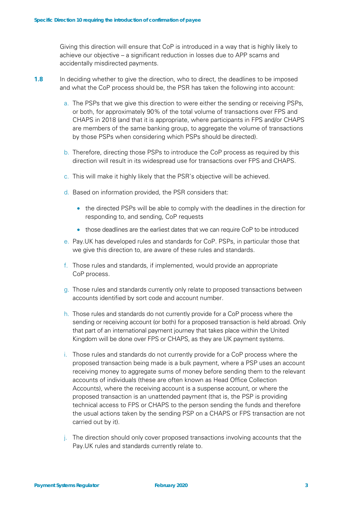Giving this direction will ensure that CoP is introduced in a way that is highly likely to achieve our objective – a significant reduction in losses due to APP scams and accidentally misdirected payments.

- **1.8** In deciding whether to give the direction, who to direct, the deadlines to be imposed and what the CoP process should be, the PSR has taken the following into account:
	- a. The PSPs that we give this direction to were either the sending or receiving PSPs, or both, for approximately 90% of the total volume of transactions over FPS and CHAPS in 2018 (and that it is appropriate, where participants in FPS and/or CHAPS are members of the same banking group, to aggregate the volume of transactions by those PSPs when considering which PSPs should be directed).
	- b. Therefore, directing those PSPs to introduce the CoP process as required by this direction will result in its widespread use for transactions over FPS and CHAPS.
	- c. This will make it highly likely that the PSR's objective will be achieved.
	- d. Based on information provided, the PSR considers that:
		- the directed PSPs will be able to comply with the deadlines in the direction for responding to, and sending, CoP requests
		- those deadlines are the earliest dates that we can require CoP to be introduced
	- e. Pay.UK has developed rules and standards for CoP. PSPs, in particular those that we give this direction to, are aware of these rules and standards.
	- f. Those rules and standards, if implemented, would provide an appropriate CoP process.
	- g. Those rules and standards currently only relate to proposed transactions between accounts identified by sort code and account number.
	- h. Those rules and standards do not currently provide for a CoP process where the sending or receiving account (or both) for a proposed transaction is held abroad. Only that part of an international payment journey that takes place within the United Kingdom will be done over FPS or CHAPS, as they are UK payment systems.
	- i. Those rules and standards do not currently provide for a CoP process where the proposed transaction being made is a bulk payment, where a PSP uses an account receiving money to aggregate sums of money before sending them to the relevant accounts of individuals (these are often known as Head Office Collection Accounts), where the receiving account is a suspense account, or where the proposed transaction is an unattended payment (that is, the PSP is providing technical access to FPS or CHAPS to the person sending the funds and therefore the usual actions taken by the sending PSP on a CHAPS or FPS transaction are not carried out by it).
	- j. The direction should only cover proposed transactions involving accounts that the Pay.UK rules and standards currently relate to.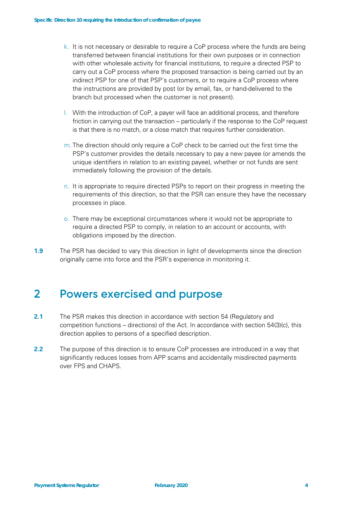- k. It is not necessary or desirable to require a CoP process where the funds are being transferred between financial institutions for their own purposes or in connection with other wholesale activity for financial institutions, to require a directed PSP to carry out a CoP process where the proposed transaction is being carried out by an indirect PSP for one of that PSP's customers, or to require a CoP process where the instructions are provided by post (or by email, fax, or hand-delivered to the branch but processed when the customer is not present).
- l. With the introduction of CoP, a payer will face an additional process, and therefore friction in carrying out the transaction – particularly if the response to the CoP request is that there is no match, or a close match that requires further consideration.
- m. The direction should only require a CoP check to be carried out the first time the PSP's customer provides the details necessary to pay a new payee (or amends the unique identifiers in relation to an existing payee), whether or not funds are sent immediately following the provision of the details.
- n. It is appropriate to require directed PSPs to report on their progress in meeting the requirements of this direction, so that the PSR can ensure they have the necessary processes in place.
- o. There may be exceptional circumstances where it would not be appropriate to require a directed PSP to comply, in relation to an account or accounts, with obligations imposed by the direction.
- **1.9** The PSR has decided to vary this direction in light of developments since the direction originally came into force and the PSR's experience in monitoring it.

## **2 Powers exercised and purpose**

- **2.1** The PSR makes this direction in accordance with section 54 (Regulatory and competition functions – directions) of the Act. In accordance with section 54(3)(c), this direction applies to persons of a specified description.
- **2.2** The purpose of this direction is to ensure CoP processes are introduced in a way that significantly reduces losses from APP scams and accidentally misdirected payments over FPS and CHAPS.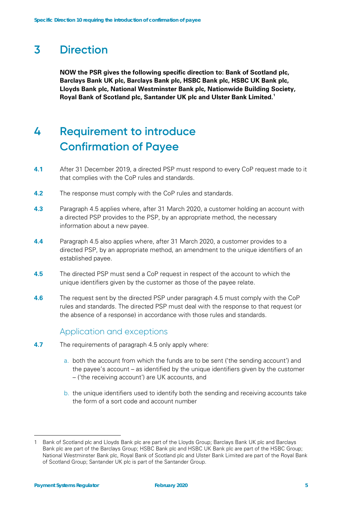# **3 Direction**

**NOW the PSR gives the following specific direction to: Bank of Scotland plc, Barclays Bank UK plc, Barclays Bank plc, HSBC Bank plc, HSBC UK Bank plc, Lloyds Bank plc, National Westminster Bank plc, Nationwide Building Society, Royal Bank of Scotland plc, Santander UK plc and Ulster Bank Limited[.1](#page-4-0)**

# **4 Requirement to introduce Confirmation of Payee**

- **4.1** After 31 December 2019, a directed PSP must respond to every CoP request made to it that complies with the CoP rules and standards.
- **4.2** The response must comply with the CoP rules and standards.
- **4.3** Paragraph 4.5 applies where, after 31 March 2020, a customer holding an account with a directed PSP provides to the PSP, by an appropriate method, the necessary information about a new payee.
- **4.4** Paragraph 4.5 also applies where, after 31 March 2020, a customer provides to a directed PSP, by an appropriate method, an amendment to the unique identifiers of an established payee.
- **4.5** The directed PSP must send a CoP request in respect of the account to which the unique identifiers given by the customer as those of the payee relate.
- **4.6** The request sent by the directed PSP under paragraph 4.5 must comply with the CoP rules and standards. The directed PSP must deal with the response to that request (or the absence of a response) in accordance with those rules and standards.

## Application and exceptions

- **4.7** The requirements of paragraph 4.5 only apply where:
	- a. both the account from which the funds are to be sent ('the sending account') and the payee's account – as identified by the unique identifiers given by the customer – ('the receiving account') are UK accounts, and
	- b. the unique identifiers used to identify both the sending and receiving accounts take the form of a sort code and account number

<span id="page-4-0"></span><sup>1</sup> Bank of Scotland plc and Lloyds Bank plc are part of the Lloyds Group; Barclays Bank UK plc and Barclays Bank plc are part of the Barclays Group; HSBC Bank plc and HSBC UK Bank plc are part of the HSBC Group; National Westminster Bank plc, Royal Bank of Scotland plc and Ulster Bank Limited are part of the Royal Bank of Scotland Group; Santander UK plc is part of the Santander Group.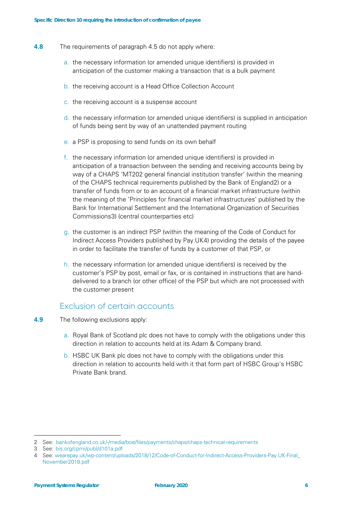- **4.8** The requirements of paragraph 4.5 do not apply where:
	- a. the necessary information (or amended unique identifiers) is provided in anticipation of the customer making a transaction that is a bulk payment
	- b. the receiving account is a Head Office Collection Account
	- c. the receiving account is a suspense account
	- d. the necessary information (or amended unique identifiers) is supplied in anticipation of funds being sent by way of an unattended payment routing
	- e. a PSP is proposing to send funds on its own behalf
	- f. the necessary information (or amended unique identifiers) is provided in anticipation of a transaction between the sending and receiving accounts being by way of a CHAPS 'MT202 general financial institution transfer' (within the meaning of the CHAPS technical requirements published by the Bank of England[2](#page-5-0)) or a transfer of funds from or to an account of a financial market infrastructure (within the meaning of the 'Principles for financial market infrastructures' published by the Bank for International Settlement and the International Organization of Securities Commissions[3](#page-5-1)) (central counterparties etc)
	- g. the customer is an indirect PSP (within the meaning of the Code of Conduct for Indirect Access Providers published by Pay.UK[4\)](#page-5-2) providing the details of the payee in order to facilitate the transfer of funds by a customer of that PSP, or
	- h. the necessary information (or amended unique identifiers) is received by the customer's PSP by post, email or fax, or is contained in instructions that are handdelivered to a branch (or other office) of the PSP but which are not processed with the customer present

## Exclusion of certain accounts

- **4.9** The following exclusions apply:
	- a. Royal Bank of Scotland plc does not have to comply with the obligations under this direction in relation to accounts held at its Adam & Company brand.
	- b. HSBC UK Bank plc does not have to comply with the obligations under this direction in relation to accounts held with it that form part of HSBC Group's HSBC Private Bank brand.

<span id="page-5-0"></span><sup>2</sup> See: [bankofengland.co.uk/-/media/boe/files/payments/chaps/chaps-technical-requirements](http://bankofengland.co.uk/-/media/boe/files/payments/chaps/chaps-technical-requirements)

<span id="page-5-1"></span><sup>3</sup> See: [bis.org/cpmi/publ/d101a.pdf](http://bis.org/cpmi/publ/d101a.pdf)

<span id="page-5-2"></span><sup>4</sup> See: [wearepay.uk/wp-content/uploads/2018/12/Code-of-Conduct-for-Indirect-Access-Providers-Pay.UK-Final\\_](https://www.wearepay.uk/wp-content/uploads/2018/12/Code-of-Conduct-for-Indirect-Access-Providers-Pay.UK-Final_November2018.pdf) [November2018.pdf](https://www.wearepay.uk/wp-content/uploads/2018/12/Code-of-Conduct-for-Indirect-Access-Providers-Pay.UK-Final_November2018.pdf)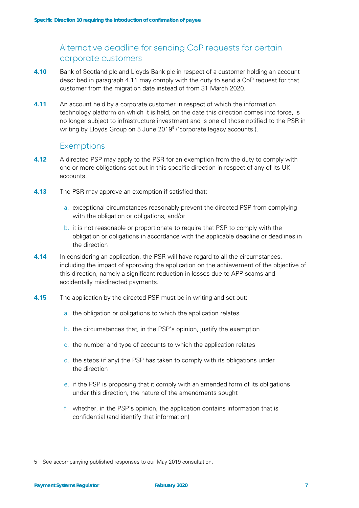## Alternative deadline for sending CoP requests for certain corporate customers

- **4.10** Bank of Scotland plc and Lloyds Bank plc in respect of a customer holding an account described in paragraph 4.11 may comply with the duty to send a CoP request for that customer from the migration date instead of from 31 March 2020.
- **4.11** An account held by a corporate customer in respect of which the information technology platform on which it is held, on the date this direction comes into force, is no longer subject to infrastructure investment and is one of those notified to the PSR in writing by Lloyds Group on [5](#page-6-0) June 2019<sup>5</sup> ('corporate legacy accounts').

## **Exemptions**

- **4.12** A directed PSP may apply to the PSR for an exemption from the duty to comply with one or more obligations set out in this specific direction in respect of any of its UK accounts.
- **4.13** The PSR may approve an exemption if satisfied that:
	- a. exceptional circumstances reasonably prevent the directed PSP from complying with the obligation or obligations, and/or
	- b. it is not reasonable or proportionate to require that PSP to comply with the obligation or obligations in accordance with the applicable deadline or deadlines in the direction
- **4.14** In considering an application, the PSR will have regard to all the circumstances, including the impact of approving the application on the achievement of the objective of this direction, namely a significant reduction in losses due to APP scams and accidentally misdirected payments.
- **4.15** The application by the directed PSP must be in writing and set out:
	- a. the obligation or obligations to which the application relates
	- b. the circumstances that, in the PSP's opinion, justify the exemption
	- c. the number and type of accounts to which the application relates
	- d. the steps (if any) the PSP has taken to comply with its obligations under the direction
	- e. if the PSP is proposing that it comply with an amended form of its obligations under this direction, the nature of the amendments sought
	- f. whether, in the PSP's opinion, the application contains information that is confidential (and identify that information)

<span id="page-6-0"></span><sup>5</sup> See accompanying published responses to our May 2019 consultation.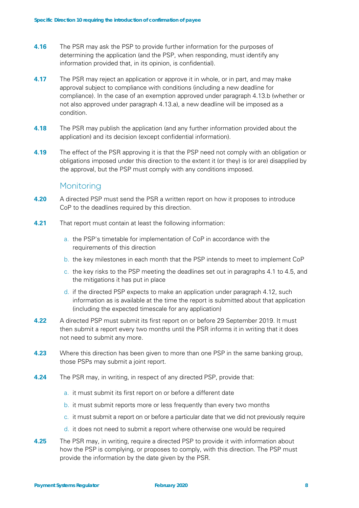- **4.16** The PSR may ask the PSP to provide further information for the purposes of determining the application (and the PSP, when responding, must identify any information provided that, in its opinion, is confidential).
- **4.17** The PSR may reject an application or approve it in whole, or in part, and may make approval subject to compliance with conditions (including a new deadline for compliance). In the case of an exemption approved under paragraph 4.13.b (whether or not also approved under paragraph 4.13.a), a new deadline will be imposed as a condition.
- **4.18** The PSR may publish the application (and any further information provided about the application) and its decision (except confidential information).
- **4.19** The effect of the PSR approving it is that the PSP need not comply with an obligation or obligations imposed under this direction to the extent it (or they) is (or are) disapplied by the approval, but the PSP must comply with any conditions imposed.

### **Monitoring**

- **4.20** A directed PSP must send the PSR a written report on how it proposes to introduce CoP to the deadlines required by this direction.
- **4.21** That report must contain at least the following information:
	- a. the PSP's timetable for implementation of CoP in accordance with the requirements of this direction
	- b. the key milestones in each month that the PSP intends to meet to implement CoP
	- c. the key risks to the PSP meeting the deadlines set out in paragraphs 4.1 to 4.5, and the mitigations it has put in place
	- d. if the directed PSP expects to make an application under paragraph 4.12, such information as is available at the time the report is submitted about that application (including the expected timescale for any application)
- **4.22** A directed PSP must submit its first report on or before 29 September 2019. It must then submit a report every two months until the PSR informs it in writing that it does not need to submit any more.
- **4.23** Where this direction has been given to more than one PSP in the same banking group, those PSPs may submit a joint report.
- **4.24** The PSR may, in writing, in respect of any directed PSP, provide that:
	- a. it must submit its first report on or before a different date
	- b. it must submit reports more or less frequently than every two months
	- c. it must submit a report on or before a particular date that we did not previously require
	- d. it does not need to submit a report where otherwise one would be required
- **4.25** The PSR may, in writing, require a directed PSP to provide it with information about how the PSP is complying, or proposes to comply, with this direction. The PSP must provide the information by the date given by the PSR.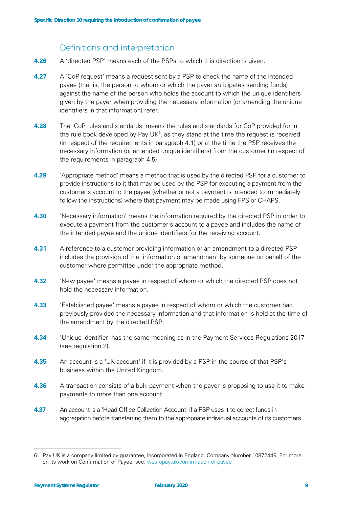## Definitions and interpretation

- **4.26** A 'directed PSP' means each of the PSPs to which this direction is given.
- **4.27** A 'CoP request' means a request sent by a PSP to check the name of the intended payee (that is, the person to whom or which the payer anticipates sending funds) against the name of the person who holds the account to which the unique identifiers given by the payer when providing the necessary information (or amending the unique identifiers in that information) refer.
- **4.28** The 'CoP rules and standards' means the rules and standards for CoP provided for in the rule book developed by Pay. UK $<sup>6</sup>$  $<sup>6</sup>$  $<sup>6</sup>$ , as they stand at the time the request is received</sup> (in respect of the requirements in paragraph 4.1) or at the time the PSP receives the necessary information (or amended unique identifiers) from the customer (in respect of the requirements in paragraph 4.5).
- **4.29** 'Appropriate method' means a method that is used by the directed PSP for a customer to provide instructions to it that may be used by the PSP for executing a payment from the customer's account to the payee (whether or not a payment is intended to immediately follow the instructions) where that payment may be made using FPS or CHAPS.
- **4.30** 'Necessary information' means the information required by the directed PSP in order to execute a payment from the customer's account to a payee and includes the name of the intended payee and the unique identifiers for the receiving account.
- **4.31** A reference to a customer providing information or an amendment to a directed PSP includes the provision of that information or amendment by someone on behalf of the customer where permitted under the appropriate method.
- **4.32** 'New payee' means a payee in respect of whom or which the directed PSP does not hold the necessary information.
- **4.33** 'Established payee' means a payee in respect of whom or which the customer had previously provided the necessary information and that information is held at the time of the amendment by the directed PSP.
- **4.34** 'Unique identifier' has the same meaning as in the Payment Services Regulations 2017 (see regulation 2).
- **4.35** An account is a 'UK account' if it is provided by a PSP in the course of that PSP's business within the United Kingdom.
- **4.36** A transaction consists of a bulk payment when the payer is proposing to use it to make payments to more than one account.
- **4.37** An account is a 'Head Office Collection Account' if a PSP uses it to collect funds in aggregation before transferring them to the appropriate individual accounts of its customers.

<span id="page-8-0"></span><sup>6</sup> Pay.UK is a company limited by guarantee, incorporated in England. Company Number 10872449. For more on its work on Confirmation of Payee, see: [wearepay.uk/confirmation-of-payee](http://wearepay.uk/confirmation-of-payee)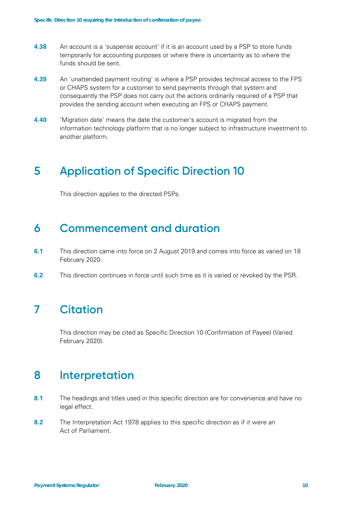- **4.38** An account is a 'suspense account' if it is an account used by a PSP to store funds temporarily for accounting purposes or where there is uncertainty as to where the funds should be sent.
- **4.39** An 'unattended payment routing' is where a PSP provides technical access to the FPS or CHAPS system for a customer to send payments through that system and consequently the PSP does not carry out the actions ordinarily required of a PSP that provides the sending account when executing an FPS or CHAPS payment.
- **4.40** 'Migration date' means the date the customer's account is migrated from the information technology platform that is no longer subject to infrastructure investment to another platform.

## **5 Application of Specific Direction 10**

This direction applies to the directed PSPs.

## **6 Commencement and duration**

- **6.1** This direction came into force on 2 August 2019 and comes into force as varied on 18 February 2020.
- **6.2** This direction continues in force until such time as it is varied or revoked by the PSR.

# **7 Citation**

This direction may be cited as Specific Direction 10 (Confirmation of Payee) (Varied February 2020).

## **8 Interpretation**

- **8.1** The headings and titles used in this specific direction are for convenience and have no legal effect.
- **8.2** The Interpretation Act 1978 applies to this specific direction as if it were an Act of Parliament.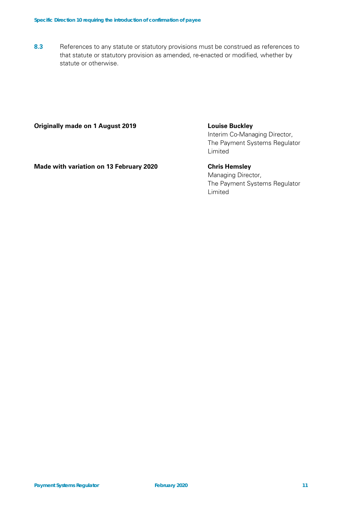**8.3** References to any statute or statutory provisions must be construed as references to that statute or statutory provision as amended, re-enacted or modified, whether by statute or otherwise.

#### **Originally made on 1 August 2019 Louise Buckley**

Interim Co-Managing Director, The Payment Systems Regulator Limited

**Made with variation on 13 February 2020 Chris Hemsley**

Managing Director,

The Payment Systems Regulator Limited